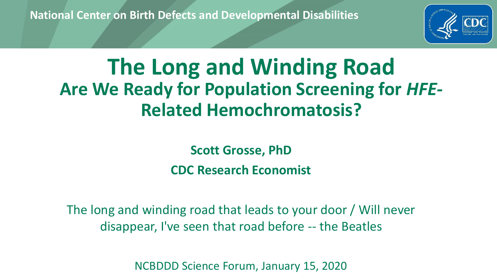**National Center on Birth Defects and Developmental Disabilities**



# **The Long and Winding Road Are We Ready for Population Screening for** *HFE-***Related Hemochromatosis?**

**Scott Grosse, PhD CDC Research Economist**

The long and winding road that leads to your door / Will never disappear, I've seen that road before -- the Beatles

NCBDDD Science Forum, January 15, 2020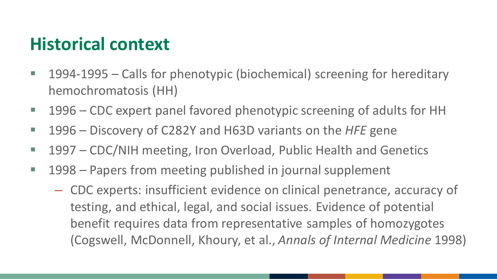#### **Historical context**

- 1994-1995 Calls for phenotypic (biochemical) screening for hereditary hemochromatosis (HH)
- 1996 CDC expert panel favored phenotypic screening of adults for HH
- 1996 Discovery of C282Y and H63D variants on the *HFE* gene
- 1997 CDC/NIH meeting, Iron Overload, Public Health and Genetics
- 1998 Papers from meeting published in journal supplement
	- CDC experts: insufficient evidence on clinical penetrance, accuracy of testing, and ethical, legal, and social issues. Evidence of potential benefit requires data from representative samples of homozygotes (Cogswell, McDonnell, Khoury, et al., *Annals of Internal Medicine* 1998)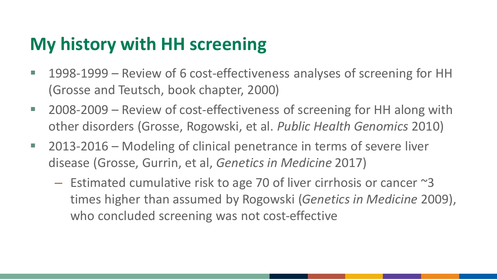### **My history with HH screening**

- 1998-1999 Review of 6 cost-effectiveness analyses of screening for HH (Grosse and Teutsch, book chapter, 2000)
- 2008-2009 Review of cost-effectiveness of screening for HH along with other disorders (Grosse, Rogowski, et al. *Public Health Genomics* 2010)
- 2013-2016 Modeling of clinical penetrance in terms of severe liver disease (Grosse, Gurrin, et al, *Genetics in Medicine* 2017)
	- $-$  Estimated cumulative risk to age 70 of liver cirrhosis or cancer  $\approx$ 3 times higher than assumed by Rogowski (*Genetics in Medicine* 2009), who concluded screening was not cost-effective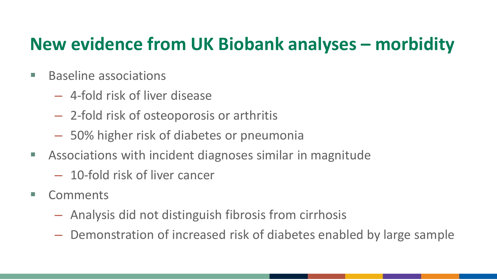### **New evidence from UK Biobank analyses – morbidity**

- Baseline associations
	- 4-fold risk of liver disease
	- 2-fold risk of osteoporosis or arthritis
	- 50% higher risk of diabetes or pneumonia
- Associations with incident diagnoses similar in magnitude
	- 10-fold risk of liver cancer
- Comments
	- Analysis did not distinguish fibrosis from cirrhosis
	- Demonstration of increased risk of diabetes enabled by large sample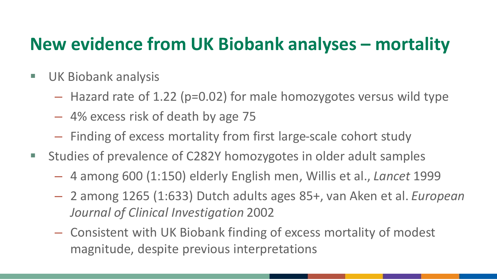#### **New evidence from UK Biobank analyses – mortality**

- UK Biobank analysis
	- Hazard rate of 1.22 (p=0.02) for male homozygotes versus wild type
	- 4% excess risk of death by age 75
	- Finding of excess mortality from first large-scale cohort study
- Studies of prevalence of C282Y homozygotes in older adult samples
	- 4 among 600 (1:150) elderly English men, Willis et al., *Lancet* 1999
	- 2 among 1265 (1:633) Dutch adults ages 85+, van Aken et al. *European Journal of Clinical Investigation* 2002
	- Consistent with UK Biobank finding of excess mortality of modest magnitude, despite previous interpretations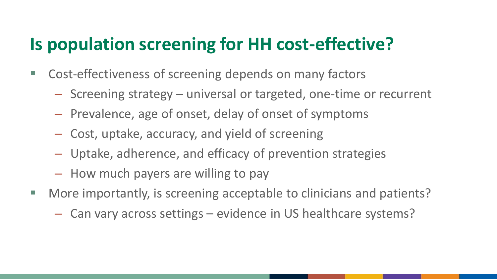#### **Is population screening for HH cost-effective?**

- Cost-effectiveness of screening depends on many factors
	- Screening strategy universal or targeted, one-time or recurrent
	- Prevalence, age of onset, delay of onset of symptoms
	- Cost, uptake, accuracy, and yield of screening
	- Uptake, adherence, and efficacy of prevention strategies
	- How much payers are willing to pay
- More importantly, is screening acceptable to clinicians and patients?
	- Can vary across settings evidence in US healthcare systems?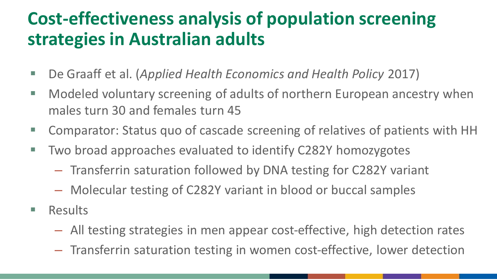## **Cost-effectiveness analysis of population screening strategies in Australian adults**

- De Graaff et al. (*Applied Health Economics and Health Policy* 2017)
- Modeled voluntary screening of adults of northern European ancestry when males turn 30 and females turn 45
- Comparator: Status quo of cascade screening of relatives of patients with HH
- Two broad approaches evaluated to identify C282Y homozygotes
	- Transferrin saturation followed by DNA testing for C282Y variant
	- Molecular testing of C282Y variant in blood or buccal samples
- Results
	- All testing strategies in men appear cost-effective, high detection rates
	- Transferrin saturation testing in women cost-effective, lower detection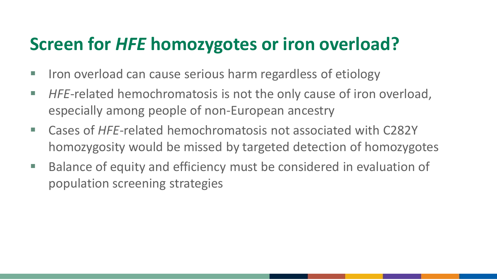## **Screen for** *HFE* **homozygotes or iron overload?**

- Iron overload can cause serious harm regardless of etiology
- *HFE*-related hemochromatosis is not the only cause of iron overload, especially among people of non-European ancestry
- Cases of *HFE*-related hemochromatosis not associated with C282Y homozygosity would be missed by targeted detection of homozygotes
- Balance of equity and efficiency must be considered in evaluation of population screening strategies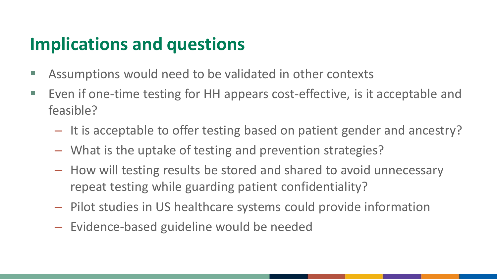#### **Implications and questions**

- Assumptions would need to be validated in other contexts
- Even if one-time testing for HH appears cost-effective, is it acceptable and feasible?
	- It is acceptable to offer testing based on patient gender and ancestry?
	- What is the uptake of testing and prevention strategies?
	- How will testing results be stored and shared to avoid unnecessary repeat testing while guarding patient confidentiality?
	- Pilot studies in US healthcare systems could provide information
	- Evidence-based guideline would be needed